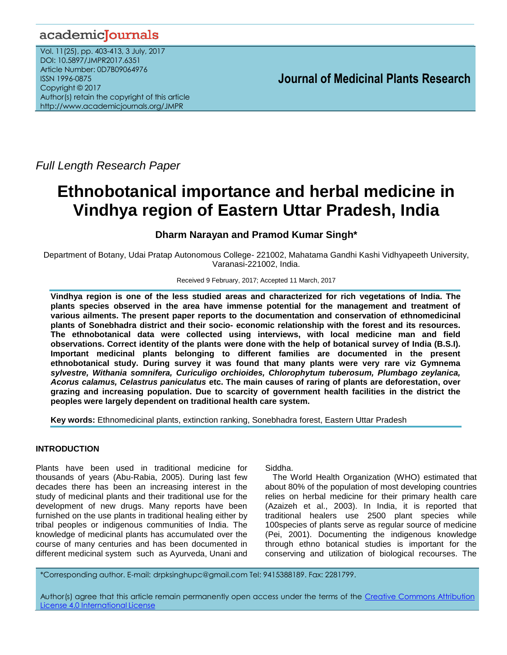# academicJournals

Vol. 11(25), pp. 403-413, 3 July, 2017 DOI: 10.5897/JMPR2017.6351 Article Number: 0D7B09064976 ISSN 1996-0875 Copyright © 2017 Author(s) retain the copyright of this article http://www.academicjournals.org/JMPR

 **Journal of Medicinal Plants Research**

*Full Length Research Paper*

# **Ethnobotanical importance and herbal medicine in Vindhya region of Eastern Uttar Pradesh, India**

# **Dharm Narayan and Pramod Kumar Singh\***

Department of Botany, Udai Pratap Autonomous College- 221002, Mahatama Gandhi Kashi Vidhyapeeth University, Varanasi-221002, India.

#### Received 9 February, 2017; Accepted 11 March, 2017

**Vindhya region is one of the less studied areas and characterized for rich vegetations of India. The plants species observed in the area have immense potential for the management and treatment of various ailments. The present paper reports to the documentation and conservation of ethnomedicinal plants of Sonebhadra district and their socio- economic relationship with the forest and its resources. The ethnobotanical data were collected using interviews, with local medicine man and field observations. Correct identity of the plants were done with the help of botanical survey of India (B.S.I). Important medicinal plants belonging to different families are documented in the present ethnobotanical study. During survey it was found that many plants were very rare viz Gymnema** *sylvestre, Withania somnifera, Curiculigo orchioides, Chlorophytum tuberosum, Plumbago zeylanica, Acorus calamus, Celastrus paniculatus* **etc. The main causes of raring of plants are deforestation, over grazing and increasing population. Due to scarcity of government health facilities in the district the peoples were largely dependent on traditional health care system.**

**Key words:** Ethnomedicinal plants, extinction ranking, Sonebhadra forest, Eastern Uttar Pradesh

# **INTRODUCTION**

Plants have been used in traditional medicine for thousands of years (Abu-Rabia, 2005). During last few decades there has been an increasing interest in the study of medicinal plants and their traditional use for the development of new drugs. Many reports have been furnished on the use plants in traditional healing either by tribal peoples or indigenous communities of India. The knowledge of medicinal plants has accumulated over the course of many centuries and has been documented in different medicinal system such as Ayurveda, Unani and Siddha.

The World Health Organization (WHO) estimated that about 80% of the population of most developing countries relies on herbal medicine for their primary health care (Azaizeh et al., 2003). In India, it is reported that traditional healers use 2500 plant species while 100species of plants serve as regular source of medicine (Pei, 2001). Documenting the indigenous knowledge through ethno botanical studies is important for the conserving and utilization of biological recourses. The

\*Corresponding author. E-mail: drpksinghupc@gmail.com Tel: 9415388189. Fax: 2281799.

Author(s) agree that this article remain permanently open access under the terms of the Creative Commons Attribution License 4.0 [International](http://creativecommons.org/licenses/by/4.0/deed.en_US) License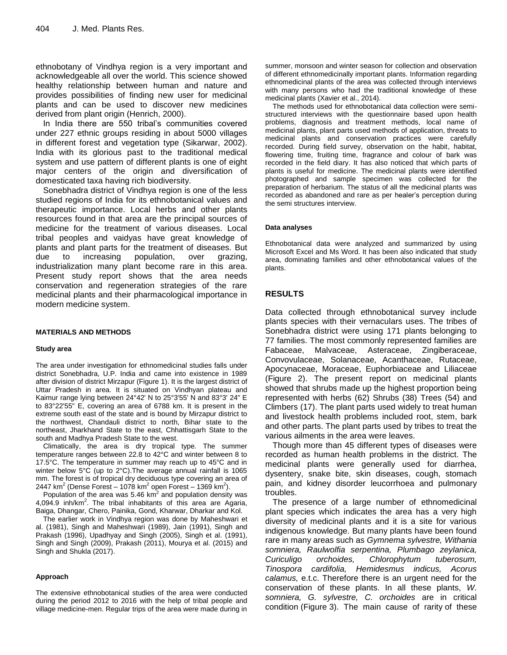ethnobotany of Vindhya region is a very important and acknowledgeable all over the world. This science showed healthy relationship between human and nature and provides possibilities of finding new user for medicinal plants and can be used to discover new medicines derived from plant origin (Henrich, 2000).

In India there are 550 tribal's communities covered under 227 ethnic groups residing in about 5000 villages in different forest and vegetation type (Sikarwar, 2002). India with its glorious past to the traditional medical system and use pattern of different plants is one of eight major centers of the origin and diversification of domesticated taxa having rich biodiversity.

Sonebhadra district of Vindhya region is one of the less studied regions of India for its ethnobotanical values and therapeutic importance. Local herbs and other plants resources found in that area are the principal sources of medicine for the treatment of various diseases. Local tribal peoples and vaidyas have great knowledge of plants and plant parts for the treatment of diseases. But due to increasing population, over grazing, industrialization many plant become rare in this area. Present study report shows that the area needs conservation and regeneration strategies of the rare medicinal plants and their pharmacological importance in modern medicine system.

#### **MATERIALS AND METHODS**

#### **Study area**

The area under investigation for ethnomedicinal studies falls under district Sonebhadra, U.P. India and came into existence in 1989 after division of district Mirzapur (Figure 1). It is the largest district of Uttar Pradesh in area. It is situated on Vindhyan plateau and Kaimur range lying between 24°42' N to 25°3'55' N and 83°3' 24" E to 83°22'55" E, covering an area of 6788 km. It is present in the extreme south east of the state and is bound by Mirzapur district to the northwest, Chandauli district to north, Bihar state to the northeast, Jharkhand State to the east, Chhattisgarh State to the south and Madhya Pradesh State to the west.

Climatically, the area is dry tropical type. The summer temperature ranges between 22.8 to 42°C and winter between 8 to 17.5°C. The temperature in summer may reach up to 45°C and in winter below 5°C (up to 2°C).The average annual rainfall is 1065 mm. The forest is of tropical dry deciduous type covering an area of 2447 km<sup>2</sup> (Dense Forest – 1078 km<sup>2</sup> open Forest – 1369 km<sup>2</sup>).

Population of the area was 5.46  $km^2$  and population density was 4,094.9 inh/km<sup>2</sup>. The tribal inhabitants of this area are Agaria, Baiga, Dhangar, Chero, Painika, Gond, Kharwar, Dharkar and Kol.

The earlier work in Vindhya region was done by Maheshwari et al. (1981), Singh and Maheshwari (1989), Jain (1991), Singh and Prakash (1996), Upadhyay and Singh (2005), Singh et al. (1991), Singh and Singh (2009), Prakash (2011), Mourya et al. (2015) and Singh and Shukla (2017).

#### **Approach**

The extensive ethnobotanical studies of the area were conducted during the period 2012 to 2016 with the help of tribal people and village medicine-men. Regular trips of the area were made during in summer, monsoon and winter season for collection and observation of different ethnomedicinally important plants. Information regarding ethnomedicinal plants of the area was collected through interviews with many persons who had the traditional knowledge of these medicinal plants (Xavier et al., 2014).

The methods used for ethnobotanical data collection were semistructured interviews with the questionnaire based upon health problems, diagnosis and treatment methods, local name of medicinal plants, plant parts used methods of application, threats to medicinal plants and conservation practices were carefully recorded. During field survey, observation on the habit, habitat, flowering time, fruiting time, fragrance and colour of bark was recorded in the field diary. It has also noticed that which parts of plants is useful for medicine. The medicinal plants were identified photographed and sample specimen was collected for the preparation of herbarium. The status of all the medicinal plants was recorded as abandoned and rare as per healer's perception during the semi structures interview.

#### **Data analyses**

Ethnobotanical data were analyzed and summarized by using Microsoft Excel and Ms Word. It has been also indicated that study area, dominating families and other ethnobotanical values of the plants.

#### **RESULTS**

Data collected through ethnobotanical survey include plants species with their vernaculars uses. The tribes of Sonebhadra district were using 171 plants belonging to 77 families. The most commonly represented families are Fabaceae, Malvaceae, Asteraceae, Zingiberaceae, Convovulaceae, Solanaceae, Acanthaceae, Rutaceae, Apocynaceae, Moraceae, Euphorbiaceae and Liliaceae (Figure 2). The present report on medicinal plants showed that shrubs made up the highest proportion being represented with herbs (62) Shrubs (38) Trees (54) and Climbers (17). The plant parts used widely to treat human and livestock health problems included root, stem, bark and other parts. The plant parts used by tribes to treat the various ailments in the area were leaves.

Though more than 45 different types of diseases were recorded as human health problems in the district. The medicinal plants were generally used for diarrhea, dysentery, snake bite, skin diseases, cough, stomach pain, and kidney disorder leucorrhoea and pulmonary troubles.

The presence of a large number of ethnomedicinal plant species which indicates the area has a very high diversity of medicinal plants and it is a site for various indigenous knowledge. But many plants have been found rare in many areas such as *Gymnema sylvestre, Withania somniera, Raulwolfia serpentina, Plumbago zeylanica, Curiculigo orchoides, Chlorophytum tuberosum, Tinospora cardifolia, Hemidesmus indicus, Acorus calamus,* e.t.c. Therefore there is an urgent need for the conservation of these plants. In all these plants, *W. somniera, G. sylvestre, C. orchoides* are in critical condition (Figure 3). The main cause of rarity of these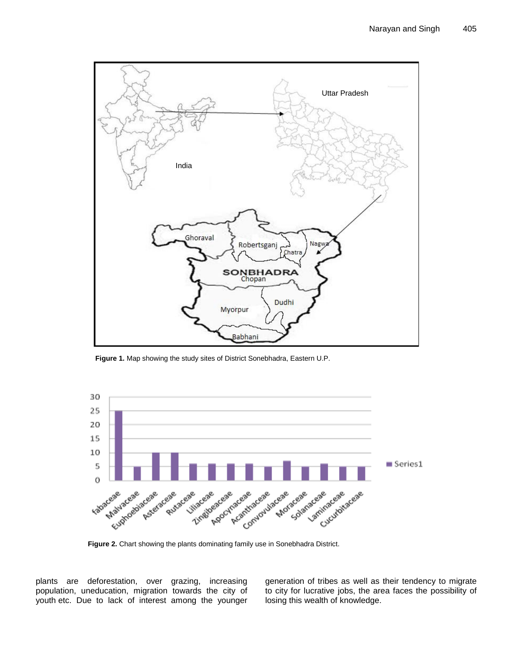

**Figure 1.** Map showing the study sites of District Sonebhadra, Eastern U.P.



**Figure 2.** Chart showing the plants dominating family use in Sonebhadra District.

plants are deforestation, over grazing, increasing population, uneducation, migration towards the city of youth etc. Due to lack of interest among the younger generation of tribes as well as their tendency to migrate to city for lucrative jobs, the area faces the possibility of losing this wealth of knowledge.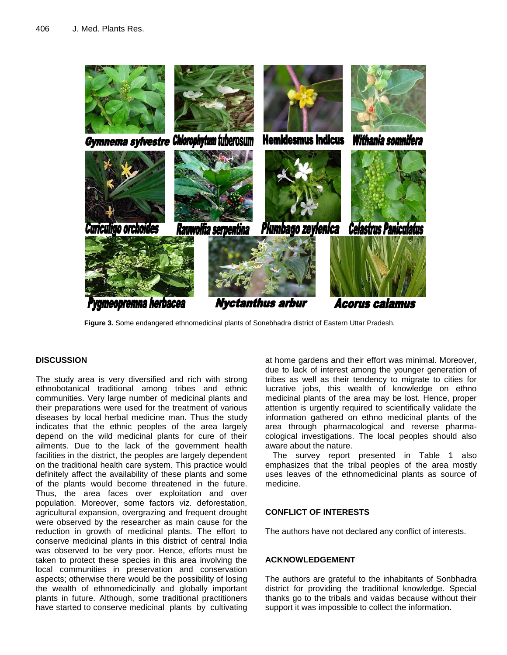

**Figure 3.** Some endangered ethnomedicinal plants of Sonebhadra district of Eastern Uttar Pradesh.

# **DISCUSSION**

The study area is very diversified and rich with strong ethnobotanical traditional among tribes and ethnic communities. Very large number of medicinal plants and their preparations were used for the treatment of various diseases by local herbal medicine man. Thus the study indicates that the ethnic peoples of the area largely depend on the wild medicinal plants for cure of their ailments. Due to the lack of the government health facilities in the district, the peoples are largely dependent on the traditional health care system. This practice would definitely affect the availability of these plants and some of the plants would become threatened in the future. Thus, the area faces over exploitation and over population. Moreover, some factors viz. deforestation, agricultural expansion, overgrazing and frequent drought were observed by the researcher as main cause for the reduction in growth of medicinal plants. The effort to conserve medicinal plants in this district of central India was observed to be very poor. Hence, efforts must be taken to protect these species in this area involving the local communities in preservation and conservation aspects; otherwise there would be the possibility of losing the wealth of ethnomedicinally and globally important plants in future. Although, some traditional practitioners have started to conserve medicinal plants by cultivating

at home gardens and their effort was minimal. Moreover, due to lack of interest among the younger generation of tribes as well as their tendency to migrate to cities for lucrative jobs, this wealth of knowledge on ethno medicinal plants of the area may be lost. Hence, proper attention is urgently required to scientifically validate the information gathered on ethno medicinal plants of the area through pharmacological and reverse pharmacological investigations. The local peoples should also aware about the nature.

The survey report presented in Table 1 also emphasizes that the tribal peoples of the area mostly uses leaves of the ethnomedicinal plants as source of medicine.

## **CONFLICT OF INTERESTS**

The authors have not declared any conflict of interests.

# **ACKNOWLEDGEMENT**

The authors are grateful to the inhabitants of Sonbhadra district for providing the traditional knowledge. Special thanks go to the tribals and vaidas because without their support it was impossible to collect the information.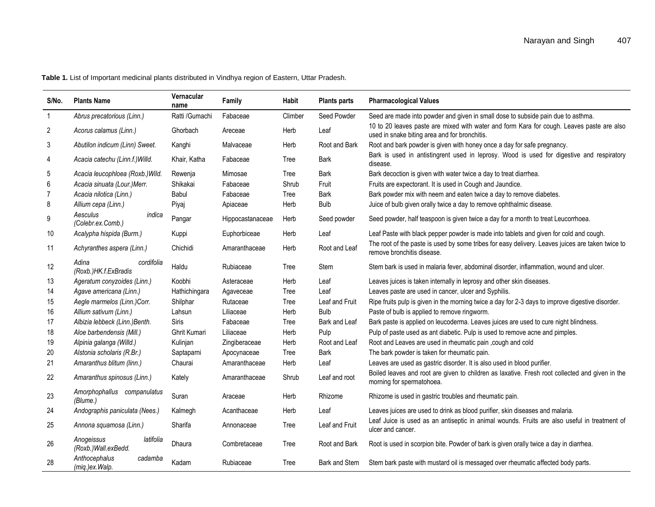**Table 1.** List of Important medicinal plants distributed in Vindhya region of Eastern, Uttar Pradesh.

| S/No.          | <b>Plants Name</b>                             | Vernacular<br>name | Family           | Habit   | <b>Plants parts</b> | <b>Pharmacological Values</b>                                                                                                              |
|----------------|------------------------------------------------|--------------------|------------------|---------|---------------------|--------------------------------------------------------------------------------------------------------------------------------------------|
| $\mathbf{1}$   | Abrus precatorious (Linn.)                     | Ratti /Gumachi     | Fabaceae         | Climber | Seed Powder         | Seed are made into powder and given in small dose to subside pain due to asthma.                                                           |
| $\overline{2}$ | Acorus calamus (Linn.)                         | Ghorbach           | Areceae          | Herb    | Leaf                | 10 to 20 leaves paste are mixed with water and form Kara for cough. Leaves paste are also<br>used in snake biting area and for bronchitis. |
| 3              | Abutilon indicum (Linn) Sweet.                 | Kanghi             | Malvaceae        | Herb    | Root and Bark       | Root and bark powder is given with honey once a day for safe pregnancy.                                                                    |
| 4              | Acacia catechu (Linn.f.) Willd.                | Khair, Katha       | Fabaceae         | Tree    | <b>Bark</b>         | Bark is used in antistingrent used in leprosy. Wood is used for digestive and respiratory<br>disease.                                      |
| 5              | Acacia leucophloea (Roxb.) Wild.               | Rewenja            | Mimosae          | Tree    | <b>Bark</b>         | Bark decoction is given with water twice a day to treat diarrhea.                                                                          |
| 6              | Acacia sinuata (Lour.) Merr.                   | Shikakai           | Fabaceae         | Shrub   | Fruit               | Fruits are expectorant. It is used in Cough and Jaundice.                                                                                  |
| $\overline{7}$ | Acacia nilotica (Linn.)                        | Babul              | Fabaceae         | Tree    | <b>Bark</b>         | Bark powder mix with neem and eaten twice a day to remove diabetes.                                                                        |
| 8              | Allium cepa (Linn.)                            | Piyaj              | Apiaceae         | Herb    | <b>Bulb</b>         | Juice of bulb given orally twice a day to remove ophthalmic disease.                                                                       |
| 9              | Aesculus<br>indica<br>(Colebr.ex.Comb.)        | Pangar             | Hippocastanaceae | Herb    | Seed powder         | Seed powder, half teaspoon is given twice a day for a month to treat Leucorrhoea.                                                          |
| 10             | Acalypha hispida (Burm.)                       | Kuppi              | Euphorbiceae     | Herb    | Leaf                | Leaf Paste with black pepper powder is made into tablets and given for cold and cough.                                                     |
| 11             | Achyranthes aspera (Linn.)                     | Chichidi           | Amaranthaceae    | Herb    | Root and Leaf       | The root of the paste is used by some tribes for easy delivery. Leaves juices are taken twice to<br>remove bronchitis disease.             |
| 12             | cordifolia<br>Adina<br>(Roxb.)HK.f.ExBradis    | Haldu              | Rubiaceae        | Tree    | Stem                | Stem bark is used in malaria fever, abdominal disorder, inflammation, wound and ulcer.                                                     |
| 13             | Ageratum conyzoides (Linn.)                    | Koobhi             | Asteraceae       | Herb    | Leaf                | Leaves juices is taken internally in leprosy and other skin diseases.                                                                      |
| 14             | Agave americana (Linn.)                        | Hathichingara      | Agaveceae        | Tree    | Leaf                | Leaves paste are used in cancer, ulcer and Syphilis.                                                                                       |
| 15             | Aegle marmelos (Linn.)Corr.                    | Shilphar           | Rutaceae         | Tree    | Leaf and Fruit      | Ripe fruits pulp is given in the morning twice a day for 2-3 days to improve digestive disorder.                                           |
| 16             | Allium sativum (Linn.)                         | Lahsun             | Liliaceae        | Herb    | <b>Bulb</b>         | Paste of bulb is applied to remove ringworm.                                                                                               |
| 17             | Albizia lebbeck (Linn.) Benth.                 | <b>Siris</b>       | Fabaceae         | Tree    | Bark and Leaf       | Bark paste is applied on leucoderma. Leaves juices are used to cure night blindness.                                                       |
| 18             | Aloe barbendensis (Mill.)                      | Ghrit Kumari       | Liliaceae        | Herb    | Pulp                | Pulp of paste used as ant diabetic. Pulp is used to remove acne and pimples.                                                               |
| 19             | Alpinia galanga (Willd.)                       | Kulinjan           | Zingiberaceae    | Herb    | Root and Leaf       | Root and Leaves are used in rheumatic pain , cough and cold                                                                                |
| 20             | Alstonia scholaris (R.Br.)                     | Saptaparni         | Apocynaceae      | Tree    | <b>Bark</b>         | The bark powder is taken for rheumatic pain.                                                                                               |
| 21             | Amaranthus blitum (linn.)                      | Chaurai            | Amaranthaceae    | Herb    | Leaf                | Leaves are used as gastric disorder. It is also used in blood purifier.                                                                    |
| 22             | Amaranthus spinosus (Linn.)                    | Kately             | Amaranthaceae    | Shrub   | Leaf and root       | Boiled leaves and root are given to children as laxative. Fresh root collected and given in the<br>morning for spermatohoea.               |
| 23             | Amorphophallus companulatus<br>(Blume.)        | Suran              | Araceae          | Herb    | Rhizome             | Rhizome is used in gastric troubles and rheumatic pain.                                                                                    |
| 24             | Andographis paniculata (Nees.)                 | Kalmegh            | Acanthaceae      | Herb    | Leaf                | Leaves juices are used to drink as blood purifier, skin diseases and malaria.                                                              |
| 25             | Annona squamosa (Linn.)                        | Sharifa            | Annonaceae       | Tree    | Leaf and Fruit      | Leaf Juice is used as an antiseptic in animal wounds. Fruits are also useful in treatment of<br>ulcer and cancer.                          |
| 26             | latifolia<br>Anogeissus<br>(Roxb.)Wall.exBedd. | Dhaura             | Combretaceae     | Tree    | Root and Bark       | Root is used in scorpion bite. Powder of bark is given orally twice a day in diarrhea.                                                     |
| 28             | Anthocephalus<br>cadamba<br>(miq.)ex.Walp.     | Kadam              | Rubiaceae        | Tree    | Bark and Stem       | Stem bark paste with mustard oil is messaged over rheumatic affected body parts.                                                           |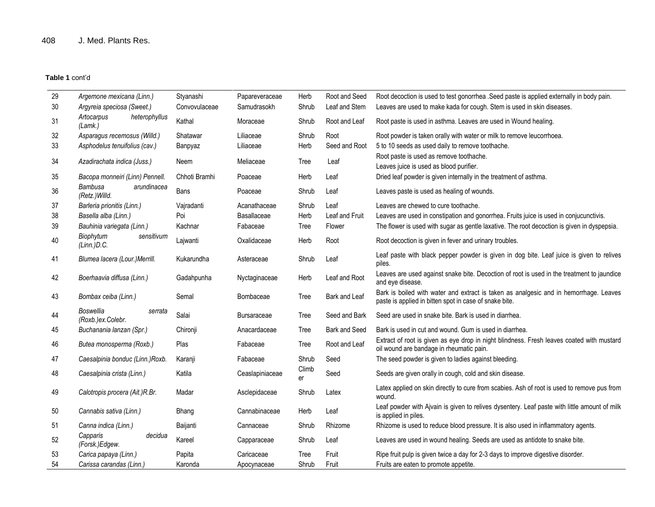## **Table 1** cont'd

| 29 | Argemone mexicana (Linn.)                       | Styanashi     | Papareveraceae     | Herb        | Root and Seed  | Root decoction is used to test gonorrhea .Seed paste is applied externally in body pain.                                                        |
|----|-------------------------------------------------|---------------|--------------------|-------------|----------------|-------------------------------------------------------------------------------------------------------------------------------------------------|
| 30 | Argyreia speciosa (Sweet.)                      | Convovulaceae | Samudrasokh        | Shrub       | Leaf and Stem  | Leaves are used to make kada for cough. Stem is used in skin diseases.                                                                          |
| 31 | Artocarpus<br>heterophyllus<br>(Lamk.)          | Kathal        | Moraceae           | Shrub       | Root and Leaf  | Root paste is used in asthma. Leaves are used in Wound healing.                                                                                 |
| 32 | Asparagus recemosus (Willd.)                    | Shatawar      | Liliaceae          | Shrub       | Root           | Root powder is taken orally with water or milk to remove leucorrhoea.                                                                           |
| 33 | Asphodelus tenuifolius (cav.)                   | Banpyaz       | Liliaceae          | Herb        | Seed and Root  | 5 to 10 seeds as used daily to remove toothache.                                                                                                |
| 34 | Azadirachata indica (Juss.)                     | Neem          | Meliaceae          | Tree        | Leaf           | Root paste is used as remove toothache.                                                                                                         |
|    |                                                 |               |                    |             |                | Leaves juice is used as blood purifier.                                                                                                         |
| 35 | Bacopa monneiri (Linn) Pennell.                 | Chhoti Bramhi | Poaceae            | Herb        | Leaf           | Dried leaf powder is given internally in the treatment of asthma.                                                                               |
| 36 | <b>Bambusa</b><br>arundinacea<br>(Retz.) Willd. | Bans          | Poaceae            | Shrub       | Leaf           | Leaves paste is used as healing of wounds.                                                                                                      |
| 37 | Barleria prionitis (Linn.)                      | Vajradanti    | Acanathaceae       | Shrub       | Leaf           | Leaves are chewed to cure toothache.                                                                                                            |
| 38 | Basella alba (Linn.)                            | Poi           | Basallaceae        | Herb        | Leaf and Fruit | Leaves are used in constipation and gonorrhea. Fruits juice is used in conjucunctivis.                                                          |
| 39 | Bauhinia variegata (Linn.)                      | Kachnar       | Fabaceae           | Tree        | Flower         | The flower is used with sugar as gentle laxative. The root decoction is given in dyspepsia.                                                     |
| 40 | Biophytum<br>sensitivum<br>(Linn.)D.C.          | Lajwanti      | Oxalidaceae        | Herb        | Root           | Root decoction is given in fever and urinary troubles.                                                                                          |
| 41 | Blumea lacera (Lour.) Merrill.                  | Kukarundha    | Asteraceae         | Shrub       | Leaf           | Leaf paste with black pepper powder is given in dog bite. Leaf juice is given to relives<br>piles.                                              |
| 42 | Boerhaavia diffusa (Linn.)                      | Gadahpunha    | Nyctaginaceae      | Herb        | Leaf and Root  | Leaves are used against snake bite. Decoction of root is used in the treatment to jaundice<br>and eye disease.                                  |
| 43 | Bombax ceiba (Linn.)                            | Semal         | <b>Bombaceae</b>   | Tree        | Bark and Leaf  | Bark is boiled with water and extract is taken as analgesic and in hemorrhage. Leaves<br>paste is applied in bitten spot in case of snake bite. |
| 44 | Boswellia<br>serrata<br>(Roxb.)ex.Colebr.       | Salai         | <b>Bursaraceae</b> | Tree        | Seed and Bark  | Seed are used in snake bite. Bark is used in diarrhea.                                                                                          |
| 45 | Buchanania lanzan (Spr.)                        | Chironji      | Anacardaceae       | Tree        | Bark and Seed  | Bark is used in cut and wound. Gum is used in diarrhea.                                                                                         |
| 46 | Butea monosperma (Roxb.)                        | Plas          | Fabaceae           | Tree        | Root and Leaf  | Extract of root is given as eye drop in night blindness. Fresh leaves coated with mustard<br>oil wound are bandage in rheumatic pain.           |
| 47 | Caesalpinia bonduc (Linn.) Roxb.                | Karanji       | Fabaceae           | Shrub       | Seed           | The seed powder is given to ladies against bleeding.                                                                                            |
| 48 | Caesalpinia crista (Linn.)                      | Katila        | Ceaslapiniaceae    | Climb<br>er | Seed           | Seeds are given orally in cough, cold and skin disease.                                                                                         |
| 49 | Calotropis procera (Ait.)R.Br.                  | Madar         | Asclepidaceae      | Shrub       | Latex          | Latex applied on skin directly to cure from scabies. Ash of root is used to remove pus from<br>wound.                                           |
| 50 | Cannabis sativa (Linn.)                         | Bhang         | Cannabinaceae      | Herb        | Leaf           | Leaf powder with Ajvain is given to relives dysentery. Leaf paste with little amount of milk<br>is applied in piles.                            |
| 51 | Canna indica (Linn.)                            | Baijanti      | Cannaceae          | Shrub       | Rhizome        | Rhizome is used to reduce blood pressure. It is also used in inflammatory agents.                                                               |
| 52 | decidua<br>Capparis<br>(Forsk.)Edgew.           | Kareel        | Capparaceae        | Shrub       | Leaf           | Leaves are used in wound healing. Seeds are used as antidote to snake bite.                                                                     |
| 53 | Carica papaya (Linn.)                           | Papita        | Caricaceae         | Tree        | Fruit          | Ripe fruit pulp is given twice a day for 2-3 days to improve digestive disorder.                                                                |
| 54 | Carissa carandas (Linn.)                        | Karonda       | Apocynaceae        | Shrub       | Fruit          | Fruits are eaten to promote appetite.                                                                                                           |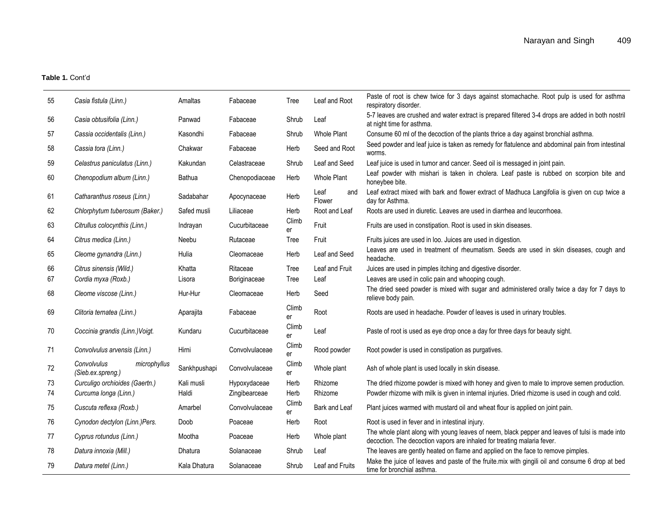| 55 | Casia fistula (Linn.)                            | Amaltas      | Fabaceae       | Tree        | Leaf and Root         | Paste of root is chew twice for 3 days against stomachache. Root pulp is used for asthma<br>respiratory disorder.                                                         |
|----|--------------------------------------------------|--------------|----------------|-------------|-----------------------|---------------------------------------------------------------------------------------------------------------------------------------------------------------------------|
| 56 | Casia obtusifolia (Linn.)                        | Panwad       | Fabaceae       | Shrub       | Leaf                  | 5-7 leaves are crushed and water extract is prepared filtered 3-4 drops are added in both nostril<br>at night time for asthma.                                            |
| 57 | Cassia occidentalis (Linn.)                      | Kasondhi     | Fabaceae       | Shrub       | <b>Whole Plant</b>    | Consume 60 ml of the decoction of the plants thrice a day against bronchial asthma.                                                                                       |
| 58 | Cassia tora (Linn.)                              | Chakwar      | Fabaceae       | Herb        | Seed and Root         | Seed powder and leaf juice is taken as remedy for flatulence and abdominal pain from intestinal<br>worms.                                                                 |
| 59 | Celastrus paniculatus (Linn.)                    | Kakundan     | Celastraceae   | Shrub       | Leaf and Seed         | Leaf juice is used in tumor and cancer. Seed oil is messaged in joint pain.                                                                                               |
| 60 | Chenopodium album (Linn.)                        | Bathua       | Chenopodiaceae | Herb        | Whole Plant           | Leaf powder with mishari is taken in cholera. Leaf paste is rubbed on scorpion bite and<br>honeybee bite.                                                                 |
| 61 | Catharanthus roseus (Linn.)                      | Sadabahar    | Apocynaceae    | Herb        | Leaf<br>and<br>Flower | Leaf extract mixed with bark and flower extract of Madhuca Langifolia is given on cup twice a<br>day for Asthma.                                                          |
| 62 | Chlorphytum tuberosum (Baker.)                   | Safed musli  | Liliaceae      | Herb        | Root and Leaf         | Roots are used in diuretic. Leaves are used in diarrhea and leucorrhoea.                                                                                                  |
| 63 | Citrullus colocynthis (Linn.)                    | Indrayan     | Cucurbitaceae  | Climb<br>er | Fruit                 | Fruits are used in constipation. Root is used in skin diseases.                                                                                                           |
| 64 | Citrus medica (Linn.)                            | Neebu        | Rutaceae       | Tree        | Fruit                 | Fruits juices are used in loo. Juices are used in digestion.                                                                                                              |
| 65 | Cleome gynandra (Linn.)                          | Hulia        | Cleomaceae     | Herb        | Leaf and Seed         | Leaves are used in treatment of rheumatism. Seeds are used in skin diseases, cough and<br>headache.                                                                       |
| 66 | Citrus sinensis (Wild.)                          | Khatta       | Ritaceae       | Tree        | Leaf and Fruit        | Juices are used in pimples itching and digestive disorder.                                                                                                                |
| 67 | Cordia myxa (Roxb.)                              | Lisora       | Boriginaceae   | Tree        | Leaf                  | Leaves are used in colic pain and whooping cough.                                                                                                                         |
| 68 | Cleome viscose (Linn.)                           | Hur-Hur      | Cleomaceae     | Herb        | Seed                  | The dried seed powder is mixed with sugar and administered orally twice a day for 7 days to<br>relieve body pain.                                                         |
| 69 | Clitoria ternatea (Linn.)                        | Aparajita    | Fabaceae       | Climb<br>er | Root                  | Roots are used in headache. Powder of leaves is used in urinary troubles.                                                                                                 |
| 70 | Coccinia grandis (Linn.) Voigt.                  | Kundaru      | Cucurbitaceae  | Climb<br>er | Leaf                  | Paste of root is used as eye drop once a day for three days for beauty sight.                                                                                             |
| 71 | Convolvulus arvensis (Linn.)                     | Hirni        | Convolvulaceae | Climb<br>er | Rood powder           | Root powder is used in constipation as purgatives.                                                                                                                        |
| 72 | Convolvulus<br>microphyllus<br>(Sieb.ex.spreng.) | Sankhpushapi | Convolvulaceae | Climb<br>er | Whole plant           | Ash of whole plant is used locally in skin disease.                                                                                                                       |
| 73 | Curculigo orchioides (Gaertn.)                   | Kali musli   | Hypoxydaceae   | Herb        | Rhizome               | The dried rhizome powder is mixed with honey and given to male to improve semen production.                                                                               |
| 74 | Curcuma longa (Linn.)                            | Haldi        | Zingibearceae  | Herb        | Rhizome               | Powder rhizome with milk is given in internal injuries. Dried rhizome is used in cough and cold.                                                                          |
| 75 | Cuscuta reflexa (Roxb.)                          | Amarbel      | Convolvulaceae | Climb<br>er | Bark and Leaf         | Plant juices warmed with mustard oil and wheat flour is applied on joint pain.                                                                                            |
| 76 | Cynodon dectylon (Linn.)Pers.                    | Doob         | Poaceae        | Herb        | Root                  | Root is used in fever and in intestinal injury.                                                                                                                           |
| 77 | Cyprus rotundus (Linn.)                          | Mootha       | Poaceae        | Herb        | Whole plant           | The whole plant along with young leaves of neem, black pepper and leaves of tulsi is made into<br>decoction. The decoction vapors are inhaled for treating malaria fever. |
| 78 | Datura innoxia (Mill.)                           | Dhatura      | Solanaceae     | Shrub       | Leaf                  | The leaves are gently heated on flame and applied on the face to remove pimples.                                                                                          |
| 79 | Datura metel (Linn.)                             | Kala Dhatura | Solanaceae     | Shrub       | Leaf and Fruits       | Make the juice of leaves and paste of the fruite.mix with gingili oil and consume 6 drop at bed<br>time for bronchial asthma.                                             |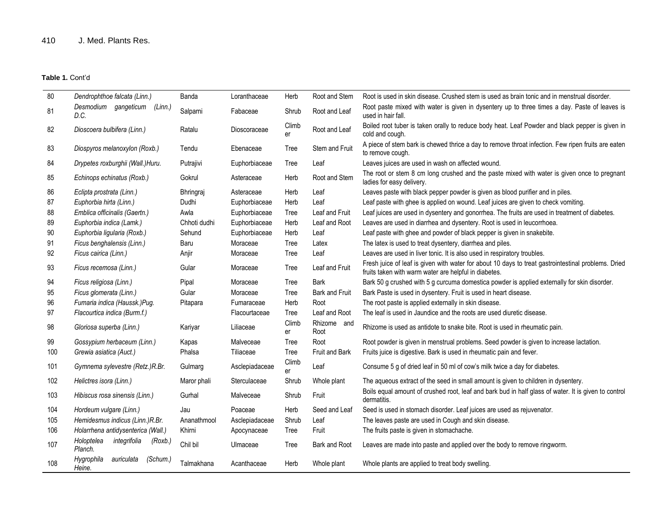| 80  | Dendrophthoe falcata (Linn.)                     | Banda        | Loranthaceae   | Herb        | Root and Stem         | Root is used in skin disease. Crushed stem is used as brain tonic and in menstrual disorder.                                                                 |
|-----|--------------------------------------------------|--------------|----------------|-------------|-----------------------|--------------------------------------------------------------------------------------------------------------------------------------------------------------|
| 81  | Desmodium gangeticum<br>(Linn.)<br>D.C.          | Salparni     | Fabaceae       | Shrub       | Root and Leaf         | Root paste mixed with water is given in dysentery up to three times a day. Paste of leaves is<br>used in hair fall.                                          |
| 82  | Dioscoera bulbifera (Linn.)                      | Ratalu       | Dioscoraceae   | Climb<br>er | Root and Leaf         | Boiled root tuber is taken orally to reduce body heat. Leaf Powder and black pepper is given in<br>cold and cough.                                           |
| 83  | Diospyros melanoxylon (Roxb.)                    | Tendu        | Ebenaceae      | Tree        | Stem and Fruit        | A piece of stem bark is chewed thrice a day to remove throat infection. Few ripen fruits are eaten<br>to remove cough.                                       |
| 84  | Drypetes roxburghii (Wall.) Huru.                | Putrajivi    | Euphorbiaceae  | Tree        | Leaf                  | Leaves juices are used in wash on affected wound.                                                                                                            |
| 85  | Echinops echinatus (Roxb.)                       | Gokrul       | Asteraceae     | Herb        | Root and Stem         | The root or stem 8 cm long crushed and the paste mixed with water is given once to pregnant<br>ladies for easy delivery.                                     |
| 86  | Eclipta prostrata (Linn.)                        | Bhringraj    | Asteraceae     | Herb        | Leaf                  | Leaves paste with black pepper powder is given as blood purifier and in piles.                                                                               |
| 87  | Euphorbia hirta (Linn.)                          | Dudhi        | Euphorbiaceae  | Herb        | Leaf                  | Leaf paste with ghee is applied on wound. Leaf juices are given to check vomiting.                                                                           |
| 88  | Emblica officinalis (Gaertn.)                    | Awla         | Euphorbiaceae  | Tree        | Leaf and Fruit        | Leaf juices are used in dysentery and gonorrhea. The fruits are used in treatment of diabetes.                                                               |
| 89  | Euphorbia indica (Lamk.)                         | Chhoti dudhi | Euphorbiaceae  | Herb        | Leaf and Root         | Leaves are used in diarrhea and dysentery. Root is used in leucorrhoea.                                                                                      |
| 90  | Euphorbia ligularia (Roxb.)                      | Sehund       | Euphorbiaceae  | Herb        | Leaf                  | Leaf paste with ghee and powder of black pepper is given in snakebite.                                                                                       |
| 91  | Ficus benghalensis (Linn.)                       | Baru         | Moraceae       | Tree        | Latex                 | The latex is used to treat dysentery, diarrhea and piles.                                                                                                    |
| 92  | Ficus cairica (Linn.)                            | Anjir        | Moraceae       | Tree        | Leaf                  | Leaves are used in liver tonic. It is also used in respiratory troubles.                                                                                     |
| 93  | Ficus recemosa (Linn.)                           | Gular        | Moraceae       | Tree        | Leaf and Fruit        | Fresh juice of leaf is given with water for about 10 days to treat gastrointestinal problems. Dried<br>fruits taken with warm water are helpful in diabetes. |
| 94  | Ficus religiosa (Linn.)                          | Pipal        | Moraceae       | Tree        | <b>Bark</b>           | Bark 50 g crushed with 5 g curcuma domestica powder is applied externally for skin disorder.                                                                 |
| 95  | Ficus glomerata (Linn.)                          | Gular        | Moraceae       | Tree        | <b>Bark and Fruit</b> | Bark Paste is used in dysentery. Fruit is used in heart disease.                                                                                             |
| 96  | Fumaria indica (Haussk.)Pug.                     | Pitapara     | Fumaraceae     | Herb        | Root                  | The root paste is applied externally in skin disease.                                                                                                        |
| 97  | Flacourtica indica (Burm.f.)                     |              | Flacourtaceae  | Tree        | Leaf and Root         | The leaf is used in Jaundice and the roots are used diuretic disease.                                                                                        |
| 98  | Gloriosa superba (Linn.)                         | Kariyar      | Liliaceae      | Climb<br>er | Rhizome and<br>Root   | Rhizome is used as antidote to snake bite. Root is used in rheumatic pain.                                                                                   |
| 99  | Gossypium herbaceum (Linn.)                      | Kapas        | Malveceae      | Tree        | Root                  | Root powder is given in menstrual problems. Seed powder is given to increase lactation.                                                                      |
| 100 | Grewia asiatica (Auct.)                          | Phalsa       | Tiliaceae      | Tree        | Fruit and Bark        | Fruits juice is digestive. Bark is used in rheumatic pain and fever.                                                                                         |
| 101 | Gymnema sylevestre (Retz.)R.Br.                  | Gulmarg      | Asclepiadaceae | Climb<br>er | Leaf                  | Consume 5 g of dried leaf in 50 ml of cow's milk twice a day for diabetes.                                                                                   |
| 102 | Helictres isora (Linn.)                          | Maror phali  | Sterculaceae   | Shrub       | Whole plant           | The aqueous extract of the seed in small amount is given to children in dysentery.                                                                           |
| 103 | Hibiscus rosa sinensis (Linn.)                   | Gurhal       | Malveceae      | Shrub       | Fruit                 | Boils equal amount of crushed root, leaf and bark bud in half glass of water. It is given to control<br>dermatitis.                                          |
| 104 | Hordeum vulgare (Linn.)                          | Jau          | Poaceae        | Herb        | Seed and Leaf         | Seed is used in stomach disorder. Leaf juices are used as rejuvenator.                                                                                       |
| 105 | Hemidesmus indicus (Linn.)R.Br.                  | Ananathmool  | Asclepiadaceae | Shrub       | Leaf                  | The leaves paste are used in Cough and skin disease.                                                                                                         |
| 106 | Holarrhena antidysenterica (Wall.)               | Khirni       | Apocynaceae    | Tree        | Fruit                 | The fruits paste is given in stomachache.                                                                                                                    |
| 107 | Holoptelea<br>integrifolia<br>(Roxb.)<br>Planch. | Chil bil     | Ulmaceae       | Tree        | Bark and Root         | Leaves are made into paste and applied over the body to remove ringworm.                                                                                     |
| 108 | (Schum.)<br>Hygrophila<br>auriculata<br>Heine.   | Talmakhana   | Acanthaceae    | Herb        | Whole plant           | Whole plants are applied to treat body swelling.                                                                                                             |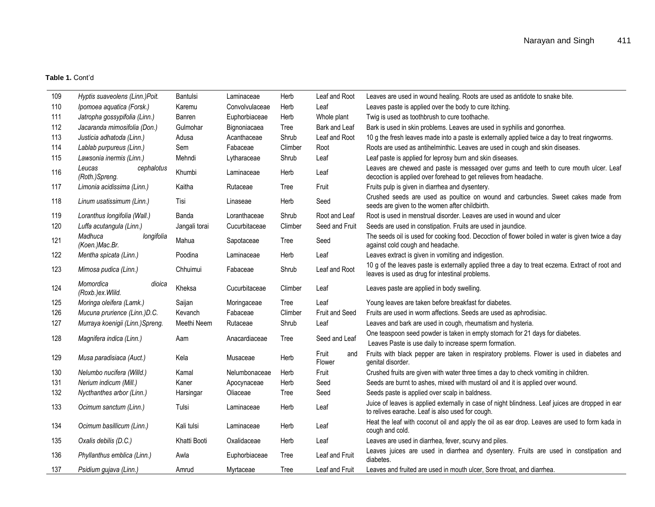| 109 | Hyptis suaveolens (Linn.) Poit.          | Bantulsi      | Laminaceae     | Herb    | Leaf and Root          | Leaves are used in wound healing. Roots are used as antidote to snake bite.                                                                                |
|-----|------------------------------------------|---------------|----------------|---------|------------------------|------------------------------------------------------------------------------------------------------------------------------------------------------------|
| 110 | Ipomoea aquatica (Forsk.)                | Karemu        | Convolvulaceae | Herb    | Leaf                   | Leaves paste is applied over the body to cure itching.                                                                                                     |
| 111 | Jatropha gossypifolia (Linn.)            | Banren        | Euphorbiaceae  | Herb    | Whole plant            | Twig is used as toothbrush to cure toothache.                                                                                                              |
| 112 | Jacaranda mimosifolia (Don.)             | Gulmohar      | Bignoniacaea   | Tree    | Bark and Leaf          | Bark is used in skin problems. Leaves are used in syphilis and gonorrhea.                                                                                  |
| 113 | Justicia adhatoda (Linn.)                | Adusa         | Acanthaceae    | Shrub   | Leaf and Root          | 10 g the fresh leaves made into a paste is externally applied twice a day to treat ringworms.                                                              |
| 114 | Lablab purpureus (Linn.)                 | Sem           | Fabaceae       | Climber | Root                   | Roots are used as antihelminthic. Leaves are used in cough and skin diseases.                                                                              |
| 115 | Lawsonia inermis (Linn.)                 | Mehndi        | Lytharaceae    | Shrub   | Leaf                   | Leaf paste is applied for leprosy burn and skin diseases.                                                                                                  |
| 116 | cephalotus<br>Leucas<br>(Roth.)Spreng.   | Khumbi        | Laminaceae     | Herb    | Leaf                   | Leaves are chewed and paste is messaged over gums and teeth to cure mouth ulcer. Leaf<br>decoction is applied over forehead to get relieves from headache. |
| 117 | Limonia acidissima (Linn.)               | Kaitha        | Rutaceae       | Tree    | Fruit                  | Fruits pulp is given in diarrhea and dysentery.                                                                                                            |
| 118 | Linum usatissimum (Linn.)                | Tisi          | Linaseae       | Herb    | Seed                   | Crushed seeds are used as poultice on wound and carbuncles. Sweet cakes made from<br>seeds are given to the women after childbirth.                        |
| 119 | Loranthus longifolia (Wall.)             | Banda         | Loranthaceae   | Shrub   | Root and Leaf          | Root is used in menstrual disorder. Leaves are used in wound and ulcer                                                                                     |
| 120 | Luffa acutangula (Linn.)                 | Jangali torai | Cucurbitaceae  | Climber | Seed and Fruit         | Seeds are used in constipation. Fruits are used in jaundice.                                                                                               |
| 121 | Madhuca<br>longifolia<br>(Koen.)Mac.Br.  | Mahua         | Sapotaceae     | Tree    | Seed                   | The seeds oil is used for cooking food. Decoction of flower boiled in water is given twice a day<br>against cold cough and headache.                       |
| 122 | Mentha spicata (Linn.)                   | Poodina       | Laminaceae     | Herb    | Leaf                   | Leaves extract is given in vomiting and indigestion.                                                                                                       |
| 123 | Mimosa pudica (Linn.)                    | Chhuimui      | Fabaceae       | Shrub   | Leaf and Root          | 10 g of the leaves paste is externally applied three a day to treat eczema. Extract of root and<br>leaves is used as drug for intestinal problems.         |
| 124 | Momordica<br>dioica<br>(Roxb.)ex. Wlild. | Kheksa        | Cucurbitaceae  | Climber | Leaf                   | Leaves paste are applied in body swelling.                                                                                                                 |
| 125 | Moringa oleifera (Lamk.)                 | Saijan        | Moringaceae    | Tree    | Leaf                   | Young leaves are taken before breakfast for diabetes.                                                                                                      |
| 126 | Mucuna prurience (Linn.) D.C.            | Kevanch       | Fabaceae       | Climber | Fruit and Seed         | Fruits are used in worm affections. Seeds are used as aphrodisiac.                                                                                         |
| 127 | Murraya koenigii (Linn.)Spreng.          | Meethi Neem   | Rutaceae       | Shrub   | Leaf                   | Leaves and bark are used in cough, rheumatism and hysteria.                                                                                                |
| 128 | Magnifera indica (Linn.)                 | Aam           | Anacardiaceae  | Tree    | Seed and Leaf          | One teaspoon seed powder is taken in empty stomach for 21 days for diabetes.<br>Leaves Paste is use daily to increase sperm formation.                     |
| 129 | Musa paradisiaca (Auct.)                 | Kela          | Musaceae       | Herb    | Fruit<br>and<br>Flower | Fruits with black pepper are taken in respiratory problems. Flower is used in diabetes and<br>genital disorder.                                            |
| 130 | Nelumbo nucifera (Willd.)                | Kamal         | Nelumbonaceae  | Herb    | Fruit                  | Crushed fruits are given with water three times a day to check vomiting in children.                                                                       |
| 131 | Nerium indicum (Mill.)                   | Kaner         | Apocynaceae    | Herb    | Seed                   | Seeds are burnt to ashes, mixed with mustard oil and it is applied over wound.                                                                             |
| 132 | Nycthanthes arbor (Linn.)                | Harsingar     | Oliaceae       | Tree    | Seed                   | Seeds paste is applied over scalp in baldness.                                                                                                             |
| 133 | Ocimum sanctum (Linn.)                   | Tulsi         | Laminaceae     | Herb    | Leaf                   | Juice of leaves is applied externally in case of night blindness. Leaf juices are dropped in ear<br>to relives earache. Leaf is also used for cough.       |
| 134 | Ocimum basillicum (Linn.)                | Kali tulsi    | Laminaceae     | Herb    | Leaf                   | Heat the leaf with coconut oil and apply the oil as ear drop. Leaves are used to form kada in<br>cough and cold.                                           |
| 135 | Oxalis debilis (D.C.)                    | Khatti Booti  | Oxalidaceae    | Herb    | Leaf                   | Leaves are used in diarrhea, fever, scurvy and piles.                                                                                                      |
| 136 | Phyllanthus emblica (Linn.)              | Awla          | Euphorbiaceae  | Tree    | Leaf and Fruit         | Leaves juices are used in diarrhea and dysentery. Fruits are used in constipation and<br>diabetes.                                                         |
| 137 | Psidium gujava (Linn.)                   | Amrud         | Myrtaceae      | Tree    | Leaf and Fruit         | Leaves and fruited are used in mouth ulcer, Sore throat, and diarrhea.                                                                                     |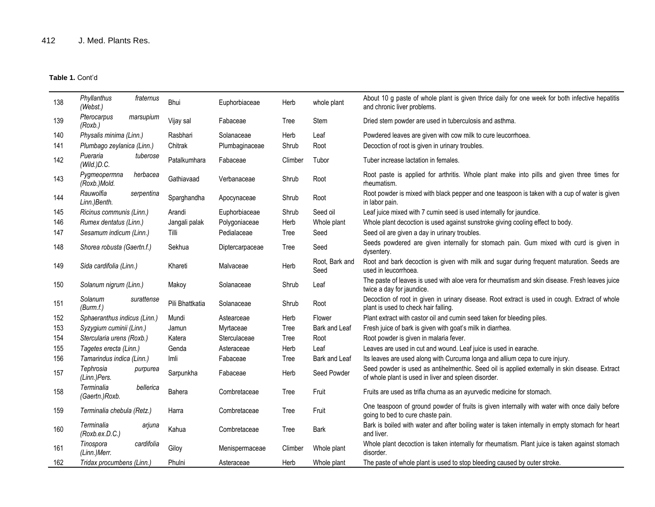| 138 | Phyllanthus<br>(Webst.)      | fraternus  | Bhui            | Euphorbiaceae   | Herb    | whole plant            | About 10 g paste of whole plant is given thrice daily for one week for both infective hepatitis<br>and chronic liver problems.                         |
|-----|------------------------------|------------|-----------------|-----------------|---------|------------------------|--------------------------------------------------------------------------------------------------------------------------------------------------------|
| 139 | Pterocarpus<br>(Roxb.)       | marsupium  | Vijay sal       | Fabaceae        | Tree    | Stem                   | Dried stem powder are used in tuberculosis and asthma.                                                                                                 |
| 140 | Physalis minima (Linn.)      |            | Rasbhari        | Solanaceae      | Herb    | Leaf                   | Powdered leaves are given with cow milk to cure leucorrhoea.                                                                                           |
| 141 | Plumbago zeylanica (Linn.)   |            | Chitrak         | Plumbaginaceae  | Shrub   | Root                   | Decoction of root is given in urinary troubles.                                                                                                        |
| 142 | Pueraria<br>(Wild.)D.C.      | tuberose   | Patalkumhara    | Fabaceae        | Climber | Tubor                  | Tuber increase lactation in females.                                                                                                                   |
| 143 | Pygmeopermna<br>(Roxb.)Mold. | herbacea   | Gathiavaad      | Verbanaceae     | Shrub   | Root                   | Root paste is applied for arthritis. Whole plant make into pills and given three times for<br>rheumatism.                                              |
| 144 | Rauwolfia<br>Linn.)Benth.    | serpentina | Sparghandha     | Apocynaceae     | Shrub   | Root                   | Root powder is mixed with black pepper and one teaspoon is taken with a cup of water is given<br>in labor pain.                                        |
| 145 | Ricinus communis (Linn.)     |            | Arandi          | Euphorbiaceae   | Shrub   | Seed oil               | Leaf juice mixed with 7 cumin seed is used internally for jaundice.                                                                                    |
| 146 | Rumex dentatus (Linn.)       |            | Jangali palak   | Polygoniaceae   | Herb    | Whole plant            | Whole plant decoction is used against sunstroke giving cooling effect to body.                                                                         |
| 147 | Sesamum indicum (Linn.)      |            | Tilli           | Pedialaceae     | Tree    | Seed                   | Seed oil are given a day in urinary troubles.                                                                                                          |
| 148 | Shorea robusta (Gaertn.f.)   |            | Sekhua          | Diptercarpaceae | Tree    | Seed                   | Seeds powdered are given internally for stomach pain. Gum mixed with curd is given in<br>dysentery.                                                    |
| 149 | Sida cardifolia (Linn.)      |            | Khareti         | Malvaceae       | Herb    | Root, Bark and<br>Seed | Root and bark decoction is given with milk and sugar during frequent maturation. Seeds are<br>used in leucorrhoea.                                     |
| 150 | Solanum nigrum (Linn.)       |            | Makoy           | Solanaceae      | Shrub   | Leaf                   | The paste of leaves is used with aloe vera for rheumatism and skin disease. Fresh leaves juice<br>twice a day for jaundice.                            |
| 151 | Solanum<br>(Burm.f.)         | surattense | Pili Bhattkatia | Solanaceae      | Shrub   | Root                   | Decoction of root in given in urinary disease. Root extract is used in cough. Extract of whole<br>plant is used to check hair falling.                 |
| 152 | Sphaeranthus indicus (Linn.) |            | Mundi           | Astearceae      | Herb    | Flower                 | Plant extract with castor oil and cumin seed taken for bleeding piles.                                                                                 |
| 153 | Syzygium cuminii (Linn.)     |            | Jamun           | Myrtaceae       | Tree    | Bark and Leaf          | Fresh juice of bark is given with goat's milk in diarrhea.                                                                                             |
| 154 | Stercularia urens (Roxb.)    |            | Katera          | Sterculaceae    | Tree    | Root                   | Root powder is given in malaria fever.                                                                                                                 |
| 155 | Tagetes erecta (Linn.)       |            | Genda           | Asteraceae      | Herb    | Leaf                   | Leaves are used in cut and wound. Leaf juice is used in earache.                                                                                       |
| 156 | Tamarindus indica (Linn.)    |            | Imli            | Fabaceae        | Tree    | Bark and Leaf          | Its leaves are used along with Curcuma longa and allium cepa to cure injury.                                                                           |
| 157 | Tephrosia<br>(Linn.)Pers.    | purpurea   | Sarpunkha       | Fabaceae        | Herb    | Seed Powder            | Seed powder is used as antihelmenthic. Seed oil is applied externally in skin disease. Extract<br>of whole plant is used in liver and spleen disorder. |
| 158 | Terminalia<br>(Gaertn.)Roxb. | bellerica  | Bahera          | Combretaceae    | Tree    | Fruit                  | Fruits are used as trifla churna as an ayurvedic medicine for stomach.                                                                                 |
| 159 | Terminalia chebula (Retz.)   |            | Harra           | Combretaceae    | Tree    | Fruit                  | One teaspoon of ground powder of fruits is given internally with water with once daily before<br>going to bed to cure chaste pain.                     |
| 160 | Terminalia<br>(Roxb.ex.D.C.) | arjuna     | Kahua           | Combretaceae    | Tree    | Bark                   | Bark is boiled with water and after boiling water is taken internally in empty stomach for heart<br>and liver.                                         |
| 161 | Tinospora<br>(Linn.) Merr.   | cardifolia | Giloy           | Menispermaceae  | Climber | Whole plant            | Whole plant decoction is taken internally for rheumatism. Plant juice is taken against stomach<br>disorder.                                            |
| 162 | Tridax procumbens (Linn.)    |            | Phulni          | Asteraceae      | Herb    | Whole plant            | The paste of whole plant is used to stop bleeding caused by outer stroke.                                                                              |